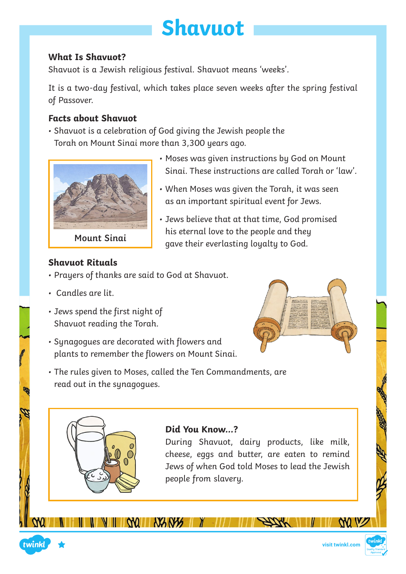# **Shavuot**

### **What Is Shavuot?**

Shavuot is a Jewish religious festival. Shavuot means 'weeks'.

It is a two-day festival, which takes place seven weeks after the spring festival of Passover.

• Moses was given instructions by God on Mount

• When Moses was given the Torah, it was seen

• Jews believe that at that time, God promised

as an important spiritual event for Jews.

his eternal love to the people and they gave their everlasting loyalty to God.

Sinai. These instructions are called Torah or 'law'.

### **Facts about Shavuot**

• Shavuot is a celebration of God giving the Jewish people the Torah on Mount Sinai more than 3,300 years ago.



### **Shavuot Rituals**

- Prayers of thanks are said to God at Shavuot.
- Candles are lit.
- Jews spend the first night of Shavuot reading the Torah.
- Synagogues are decorated with flowers and plants to remember the flowers on Mount Sinai.
- The rules given to Moses, called the Ten Commandments, are read out in the synagogues.

 $N2N2$ 





## **Did You Know…?**

During Shavuot, dairy products, like milk, cheese, eggs and butter, are eaten to remind Jews of when God told Moses to lead the Jewish people from slavery.



WW W

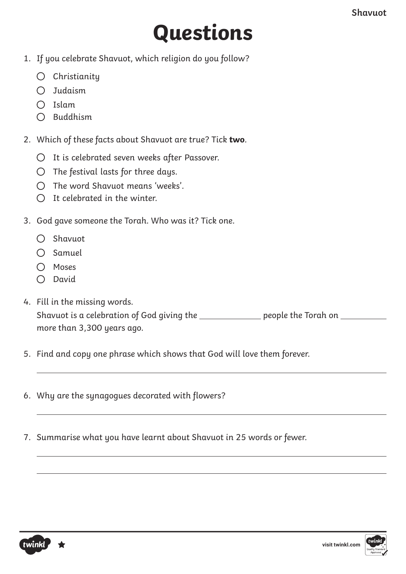# **Questions**

- 1. If you celebrate Shavuot, which religion do you follow?
	- $O$  Christianity
	- Judaism
	- $\bigcap$  Islam
	- $O$  Buddhism
- 2. Which of these facts about Shavuot are true? Tick **two**.
	- $O$  It is celebrated seven weeks after Passover.
	- $O$  The festival lasts for three days.
	- $\bigcap$  The word Shavuot means 'weeks'.
	- $O$  It celebrated in the winter.
- 3. God gave someone the Torah. Who was it? Tick one.
	- $O$  Shavuot
	- $\bigcap$  Samuel
	- $O$  Moses
	- $\bigcap$  David
- 4. Fill in the missing words. Shavuot is a celebration of God giving the **contained all people the Torah on** <u>containing</u> more than 3,300 years ago.
- 5. Find and copy one phrase which shows that God will love them forever.
- 6. Why are the synagogues decorated with flowers?
- 7. Summarise what you have learnt about Shavuot in 25 words or fewer.



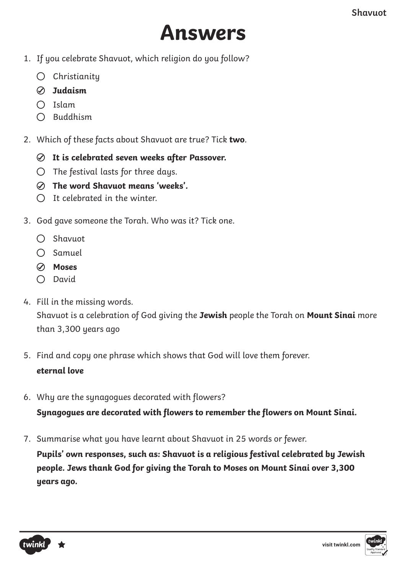

- 1. If you celebrate Shavuot, which religion do you follow?
	- $O$  Christianity
	- **Judaism**
	- $\bigcap$  Islam
	- $O$  Buddhism
- 2. Which of these facts about Shavuot are true? Tick **two**.
	- **It is celebrated seven weeks after Passover.**
	- $\bigcirc$  The festival lasts for three days.
	- **The word Shavuot means 'weeks'.**
	- $\bigcap$  It celebrated in the winter.
- 3. God gave someone the Torah. Who was it? Tick one.
	- $O$  Shavuot
	- $O$  Samuel
	- **Moses**
	- $\bigcap$  David
- 4. Fill in the missing words. Shavuot is a celebration of God giving the **Jewish** people the Torah on **Mount Sinai** more than 3,300 years ago
- 5. Find and copy one phrase which shows that God will love them forever. **eternal love**
- 6. Why are the synagogues decorated with flowers?

**Synagogues are decorated with flowers to remember the flowers on Mount Sinai.**

7. Summarise what you have learnt about Shavuot in 25 words or fewer.

**Pupils' own responses, such as: Shavuot is a religious festival celebrated by Jewish people. Jews thank God for giving the Torah to Moses on Mount Sinai over 3,300 years ago.**

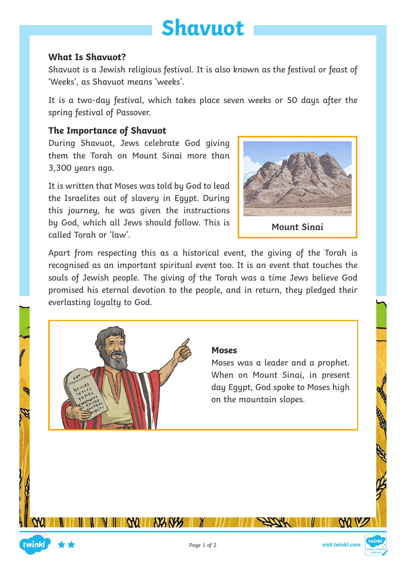

#### **What Is Shavuot?**

Shavuot is a Jewish religious festival. It is also known as the festival or feast of 'Weeks', as Shavuot means 'weeks'.

It is a two-day festival, which takes place seven weeks or 50 days after the spring festival of Passover.

#### **The Importance of Shavuot**

During Shavuot, Jews celebrate God giving them the Torah on Mount Sinai more than 3,300 years ago.

It is written that Moses was told by God to lead the Israelites out of slavery in Egypt. During this journey, he was given the instructions by God, which all Jews should follow. This is called Torah or 'law'.



**Mount Sinai**

Apart from respecting this as a historical event, the giving of the Torah is recognised as an important spiritual event too. It is an event that touches the souls of Jewish people. The giving of the Torah was a time Jews believe God promised his eternal devotion to the people, and in return, they pledged their everlasting loyalty to God.



#### **Moses**

Moses was a leader and a prophet. When on Mount Sinai, in present day Egypt, God spoke to Moses high on the mountain slopes.

W V

**NANS** 

**MILL**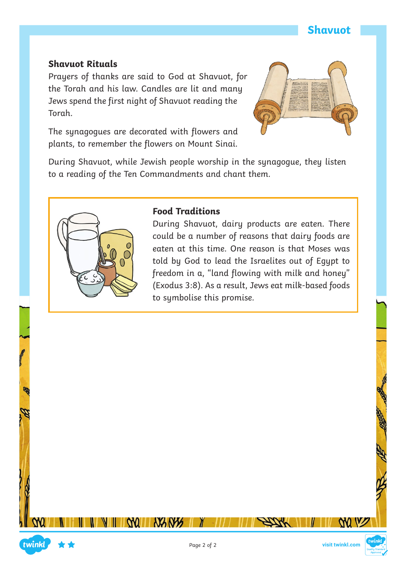#### **Shavuot Rituals**

Prayers of thanks are said to God at Shavuot, for the Torah and his law. Candles are lit and many Jews spend the first night of Shavuot reading the Torah.

The synagogues are decorated with flowers and plants, to remember the flowers on Mount Sinai.



During Shavuot, while Jewish people worship in the synagogue, they listen to a reading of the Ten Commandments and chant them.



#### **Food Traditions**

During Shavuot, dairy products are eaten. There could be a number of reasons that dairy foods are eaten at this time. One reason is that Moses was told by God to lead the Israelites out of Egypt to freedom in a, "land flowing with milk and honey" (Exodus 3:8). As a result, Jews eat milk-based foods to symbolise this promise.



W V

**NANY** 

**WILL** 

twinkl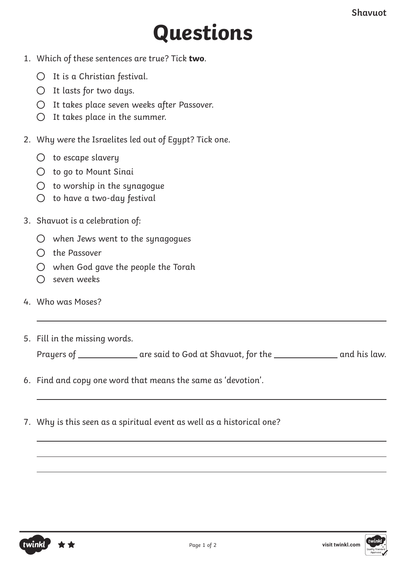# **Questions**

- 1. Which of these sentences are true? Tick **two**.
	- $O$  It is a Christian festival.
	- $O$  It lasts for two days.
	- It takes place seven weeks after Passover.
	- $O$  It takes place in the summer.
- 2. Why were the Israelites led out of Egypt? Tick one.
	- $\bigcirc$  to escape slavery
	- to go to Mount Sinai
	- $\bigcirc$  to worship in the synagogue
	- $O$  to have a two-day festival
- 3. Shavuot is a celebration of:
	- $\bigcirc$  when Jews went to the synagogues
	- $O$  the Passover
	- $\bigcirc$  when God gave the people the Torah
	- $\bigcap$  seven weeks
- 4. Who was Moses?
- 5. Fill in the missing words.

| Prayers of | are said to God at Shavuot, for the | and his law. |
|------------|-------------------------------------|--------------|
|------------|-------------------------------------|--------------|

- 6. Find and copy one word that means the same as 'devotion'.
- 7. Why is this seen as a spiritual event as well as a historical one?



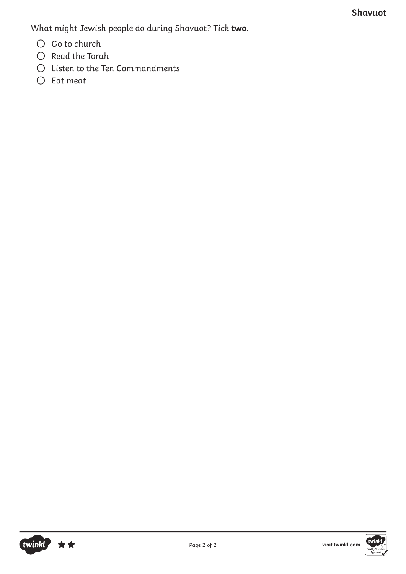What might Jewish people do during Shavuot? Tick **two**.

- $O$  Go to church
- $O$  Read the Torah
- $O$  Listen to the Ten Commandments
- $O$  Eat meat

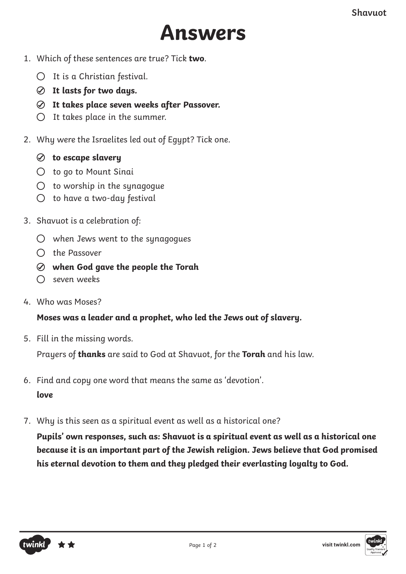# **Answers**

- 1. Which of these sentences are true? Tick **two**.
	- $O$  It is a Christian festival.
	- **It lasts for two days.**
	- **It takes place seven weeks after Passover.**
	- $O$  It takes place in the summer.
- 2. Why were the Israelites led out of Egypt? Tick one.
	- **to escape slavery**
	- to go to Mount Sinai
	- $O$  to worship in the synagogue
	- $O$  to have a two-day festival
- 3. Shavuot is a celebration of:
	- $\bigcirc$  when Jews went to the synagogues
	- $\bigcap$  the Passover
	- **when God gave the people the Torah**
	- $\bigcap$  seven weeks
- 4. Who was Moses?

#### **Moses was a leader and a prophet, who led the Jews out of slavery.**

5. Fill in the missing words.

Prayers of **thanks** are said to God at Shavuot, for the **Torah** and his law.

- 6. Find and copy one word that means the same as 'devotion'. **love**
- 7. Why is this seen as a spiritual event as well as a historical one?

**Pupils' own responses, such as: Shavuot is a spiritual event as well as a historical one because it is an important part of the Jewish religion. Jews believe that God promised his eternal devotion to them and they pledged their everlasting loyalty to God.**



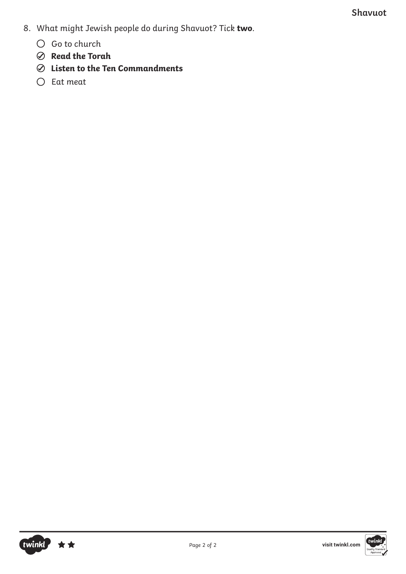- 8. What might Jewish people do during Shavuot? Tick **two**.
	- $O$  Go to church
	- **Read the Torah**
	- **Listen to the Ten Commandments**
	- $O$  Eat meat

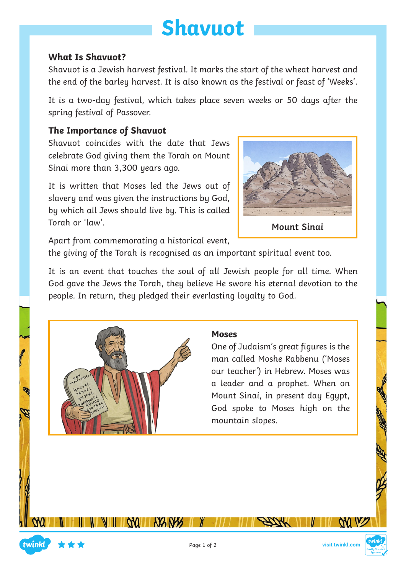# **Shavuot**

#### **What Is Shavuot?**

Shavuot is a Jewish harvest festival. It marks the start of the wheat harvest and the end of the barley harvest. It is also known as the festival or feast of 'Weeks'.

It is a two-day festival, which takes place seven weeks or 50 days after the spring festival of Passover.

#### **The Importance of Shavuot**

Shavuot coincides with the date that Jews celebrate God giving them the Torah on Mount Sinai more than 3,300 years ago.

It is written that Moses led the Jews out of slavery and was given the instructions by God, by which all Jews should live by. This is called Torah or 'law'.



**Mount Sinai**

Apart from commemorating a historical event,

the giving of the Torah is recognised as an important spiritual event too.

It is an event that touches the soul of all Jewish people for all time. When God gave the Jews the Torah, they believe He swore his eternal devotion to the people. In return, they pledged their everlasting loyalty to God.



#### **Moses**

One of Judaism's great figures is the man called Moshe Rabbenu ('Moses our teacher') in Hebrew. Moses was a leader and a prophet. When on Mount Sinai, in present day Egypt, God spoke to Moses high on the mountain slopes.



WV

**NANY** 

WILL

twinkl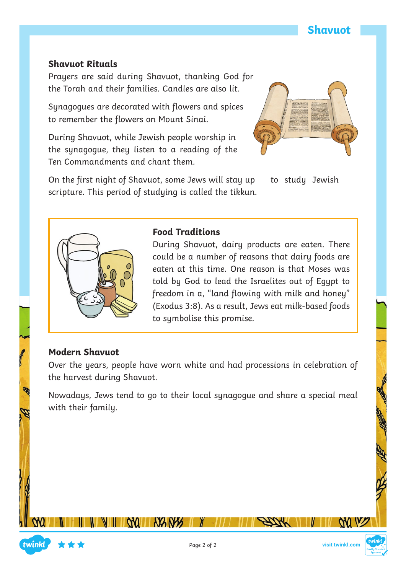#### **Shavuot Rituals**

Prayers are said during Shavuot, thanking God for the Torah and their families. Candles are also lit.

Synagogues are decorated with flowers and spices to remember the flowers on Mount Sinai.

During Shavuot, while Jewish people worship in the synagogue, they listen to a reading of the Ten Commandments and chant them.

On the first night of Shavuot, some Jews will stay up to study Jewish scripture. This period of studying is called the tikkun.



#### **Food Traditions**

During Shavuot, dairy products are eaten. There could be a number of reasons that dairy foods are eaten at this time. One reason is that Moses was told by God to lead the Israelites out of Egypt to freedom in a, "land flowing with milk and honey" (Exodus 3:8). As a result, Jews eat milk-based foods to symbolise this promise.

## **Modern Shavuot**

Over the years, people have worn white and had processions in celebration of the harvest during Shavuot.

Nowadays, Jews tend to go to their local synagogue and share a special meal with their family.

W V

**NANY** 

WILL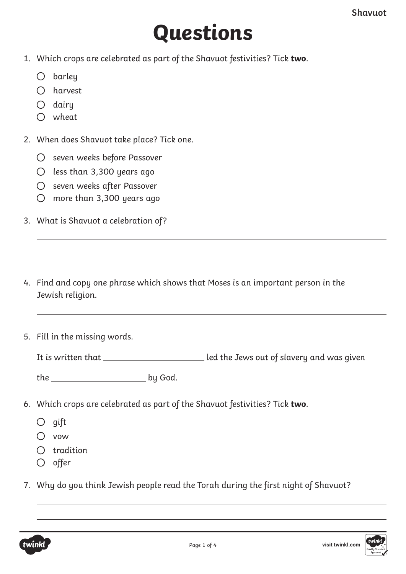# **Questions**

- 1. Which crops are celebrated as part of the Shavuot festivities? Tick **two**.
	- $O$  barley
	- harvest
	- $O$  dairu
	- wheat
- 2. When does Shavuot take place? Tick one.
	- O seven weeks before Passover
	- $O$  less than 3,300 years ago
	- O seven weeks after Passover
	- more than 3,300 years ago
- 3. What is Shavuot a celebration of?
- 4. Find and copy one phrase which shows that Moses is an important person in the Jewish religion.
- 5. Fill in the missing words.

It is written that led the Jews out of slavery and was given

the by God.

- 6. Which crops are celebrated as part of the Shavuot festivities? Tick **two**.
	- $O$  gift
	- vow
	- $O$  tradition
	- $O$  offer
- 7. Why do you think Jewish people read the Torah during the first night of Shavuot?



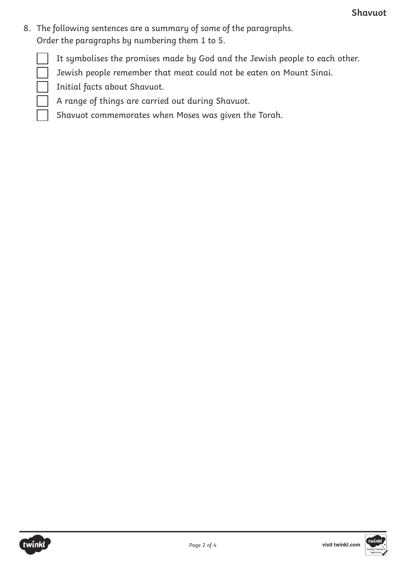8. The following sentences are a summary of some of the paragraphs. Order the paragraphs by numbering them 1 to 5.

It symbolises the promises made by God and the Jewish people to each other.

Jewish people remember that meat could not be eaten on Mount Sinai.

Initial facts about Shavuot.

A range of things are carried out during Shavuot.

Shavuot commemorates when Moses was given the Torah.

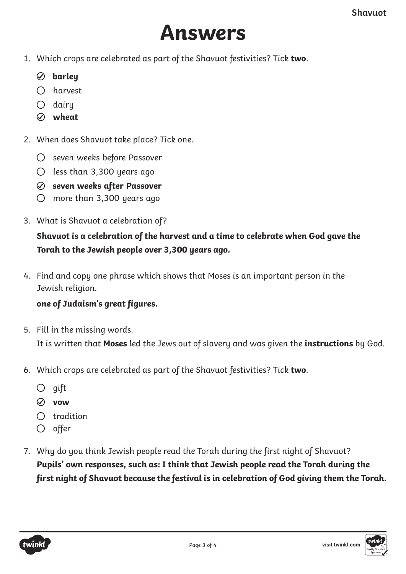# **Answers**

- 1. Which crops are celebrated as part of the Shavuot festivities? Tick **two**.
	- **barley**
	- harvest
	- $O$  dairu
	- **wheat**
- 2. When does Shavuot take place? Tick one.
	- O seven weeks before Passover
	- $O$  less than 3,300 years ago
	- **seven weeks after Passover**
	- more than 3,300 years ago
- 3. What is Shavuot a celebration of?

## **Shavuot is a celebration of the harvest and a time to celebrate when God gave the Torah to the Jewish people over 3,300 years ago.**

4. Find and copy one phrase which shows that Moses is an important person in the Jewish religion.

#### **one of Judaism's great figures.**

- 5. Fill in the missing words. It is written that **Moses** led the Jews out of slavery and was given the **instructions** by God.
- 6. Which crops are celebrated as part of the Shavuot festivities? Tick **two**.
	- $\bigcirc$  gift
	- **vow**
	- $O$  tradition
	- $O$  offer
- 7. Why do you think Jewish people read the Torah during the first night of Shavuot? **Pupils' own responses, such as: I think that Jewish people read the Torah during the first night of Shavuot because the festival is in celebration of God giving them the Torah.**